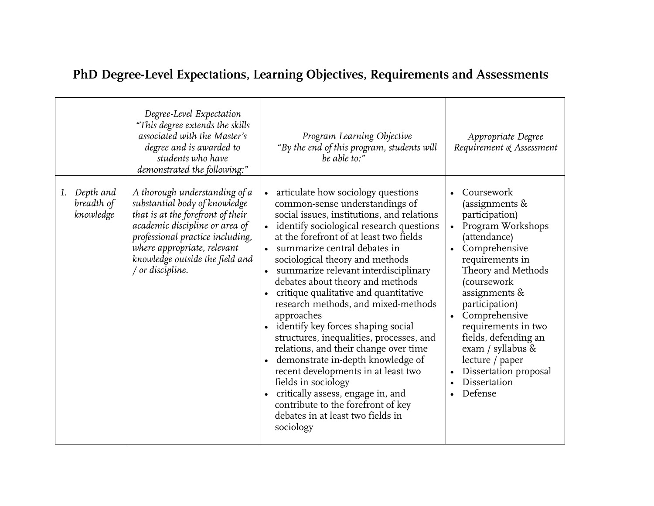|                                            | Degree-Level Expectation<br>"This degree extends the skills"<br>associated with the Master's<br>degree and is awarded to<br>students who have<br>demonstrated the following:"                                                                                               | Program Learning Objective<br>"By the end of this program, students will<br>be able to:"                                                                                                                                                                                                                                                                                                                                                                                                                                                                                                                                                                                                                                                                                                                                         | Appropriate Degree<br>Requirement & Assessment                                                                                                                                                                                                                                                                                                                   |
|--------------------------------------------|-----------------------------------------------------------------------------------------------------------------------------------------------------------------------------------------------------------------------------------------------------------------------------|----------------------------------------------------------------------------------------------------------------------------------------------------------------------------------------------------------------------------------------------------------------------------------------------------------------------------------------------------------------------------------------------------------------------------------------------------------------------------------------------------------------------------------------------------------------------------------------------------------------------------------------------------------------------------------------------------------------------------------------------------------------------------------------------------------------------------------|------------------------------------------------------------------------------------------------------------------------------------------------------------------------------------------------------------------------------------------------------------------------------------------------------------------------------------------------------------------|
| Depth and<br>1.<br>breadth of<br>knowledge | A thorough understanding of a<br>substantial body of knowledge<br>that is at the forefront of their<br>academic discipline or area of<br>professional practice including,<br>where appropriate, relevant<br>knowledge outside the field and<br>$\frac{1}{2}$ or discipline. | articulate how sociology questions<br>common-sense understandings of<br>social issues, institutions, and relations<br>identify sociological research questions<br>at the forefront of at least two fields<br>· summarize central debates in<br>sociological theory and methods<br>summarize relevant interdisciplinary<br>$\bullet$<br>debates about theory and methods<br>critique qualitative and quantitative<br>research methods, and mixed-methods<br>approaches<br>identify key forces shaping social<br>structures, inequalities, processes, and<br>relations, and their change over time<br>demonstrate in-depth knowledge of<br>recent developments in at least two<br>fields in sociology<br>critically assess, engage in, and<br>contribute to the forefront of key<br>debates in at least two fields in<br>sociology | Coursework<br>(assignments $&$<br>participation)<br>Program Workshops<br>(attendance)<br>Comprehensive<br>requirements in<br>Theory and Methods<br>(coursework<br>assignments &<br>participation)<br>Comprehensive<br>requirements in two<br>fields, defending an<br>exam / syllabus $\&$<br>lecture / paper<br>Dissertation proposal<br>Dissertation<br>Defense |

## **PhD Degree-Level Expectations, Learning Objectives, Requirements and Assessments**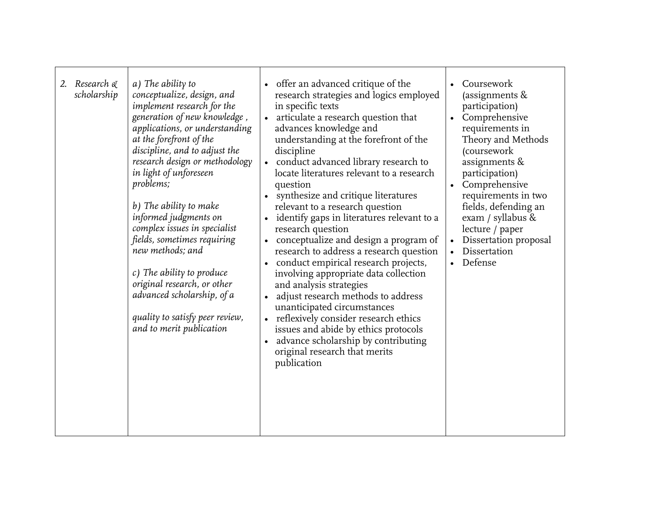| Research &<br>a) The ability to<br>2.<br>scholarship<br>conceptualize, design, and<br>implement research for the<br>generation of new knowledge,<br>applications, or understanding<br>at the forefront of the<br>discipline, and to adjust the<br>research design or methodology<br>in light of unforeseen<br>problems;<br>b) The ability to make<br>informed judgments on<br>complex issues in specialist<br>fields, sometimes requiring<br>new methods; and<br>$c)$ The ability to produce<br>original research, or other<br>advanced scholarship, of a<br>quality to satisfy peer review,<br>and to merit publication | offer an advanced critique of the<br>research strategies and logics employed<br>in specific texts<br>articulate a research question that<br>$\bullet$<br>advances knowledge and<br>understanding at the forefront of the<br>discipline<br>conduct advanced library research to<br>$\bullet$<br>locate literatures relevant to a research<br>question<br>synthesize and critique literatures<br>relevant to a research question<br>identify gaps in literatures relevant to a<br>$\bullet$<br>research question<br>conceptualize and design a program of<br>$\bullet$<br>research to address a research question<br>conduct empirical research projects,<br>involving appropriate data collection<br>and analysis strategies<br>adjust research methods to address<br>unanticipated circumstances<br>reflexively consider research ethics<br>$\bullet$<br>issues and abide by ethics protocols<br>advance scholarship by contributing<br>original research that merits<br>publication | Coursework<br>$\bullet$<br>(assignments $&$<br>participation)<br>Comprehensive<br>$\bullet$<br>requirements in<br>Theory and Methods<br>(coursework<br>assignments &<br>participation)<br>Comprehensive<br>$\bullet$<br>requirements in two<br>fields, defending an<br>exam / syllabus &<br>lecture / paper<br>Dissertation proposal<br>$\bullet$<br>Dissertation<br>Defense |
|--------------------------------------------------------------------------------------------------------------------------------------------------------------------------------------------------------------------------------------------------------------------------------------------------------------------------------------------------------------------------------------------------------------------------------------------------------------------------------------------------------------------------------------------------------------------------------------------------------------------------|--------------------------------------------------------------------------------------------------------------------------------------------------------------------------------------------------------------------------------------------------------------------------------------------------------------------------------------------------------------------------------------------------------------------------------------------------------------------------------------------------------------------------------------------------------------------------------------------------------------------------------------------------------------------------------------------------------------------------------------------------------------------------------------------------------------------------------------------------------------------------------------------------------------------------------------------------------------------------------------|------------------------------------------------------------------------------------------------------------------------------------------------------------------------------------------------------------------------------------------------------------------------------------------------------------------------------------------------------------------------------|
|--------------------------------------------------------------------------------------------------------------------------------------------------------------------------------------------------------------------------------------------------------------------------------------------------------------------------------------------------------------------------------------------------------------------------------------------------------------------------------------------------------------------------------------------------------------------------------------------------------------------------|--------------------------------------------------------------------------------------------------------------------------------------------------------------------------------------------------------------------------------------------------------------------------------------------------------------------------------------------------------------------------------------------------------------------------------------------------------------------------------------------------------------------------------------------------------------------------------------------------------------------------------------------------------------------------------------------------------------------------------------------------------------------------------------------------------------------------------------------------------------------------------------------------------------------------------------------------------------------------------------|------------------------------------------------------------------------------------------------------------------------------------------------------------------------------------------------------------------------------------------------------------------------------------------------------------------------------------------------------------------------------|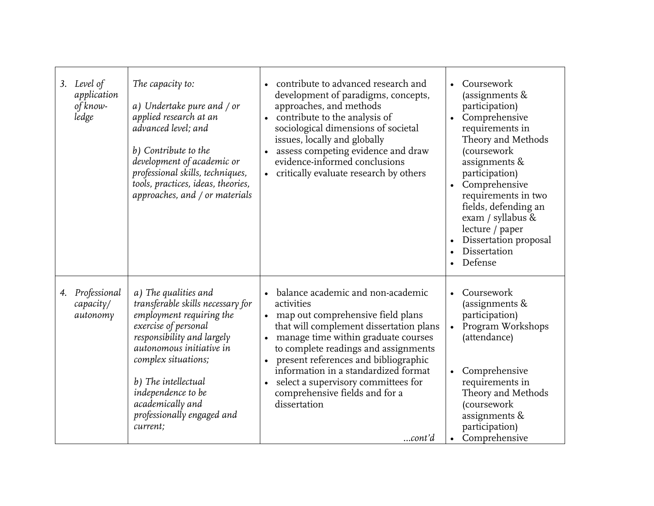| 3. Level of<br>application<br>of know-<br>ledge | The capacity to:<br>a) Undertake pure and / or<br>applied research at an<br>advanced level; and<br>b) Contribute to the<br>development of academic or<br>professional skills, techniques,<br>tools, practices, ideas, theories,<br>approaches, and / or materials                                         | contribute to advanced research and<br>development of paradigms, concepts,<br>approaches, and methods<br>• contribute to the analysis of<br>sociological dimensions of societal<br>issues, locally and globally<br>assess competing evidence and draw<br>evidence-informed conclusions<br>• critically evaluate research by others                                                                                      | Coursework<br>(assignments $&$<br>participation)<br>Comprehensive<br>$\bullet$<br>requirements in<br>Theory and Methods<br>(coursework<br>assignments $\&$<br>participation)<br>Comprehensive<br>$\bullet$<br>requirements in two<br>fields, defending an<br>exam / syllabus &<br>lecture / paper<br>Dissertation proposal<br>Dissertation<br>Defense |
|-------------------------------------------------|-----------------------------------------------------------------------------------------------------------------------------------------------------------------------------------------------------------------------------------------------------------------------------------------------------------|-------------------------------------------------------------------------------------------------------------------------------------------------------------------------------------------------------------------------------------------------------------------------------------------------------------------------------------------------------------------------------------------------------------------------|-------------------------------------------------------------------------------------------------------------------------------------------------------------------------------------------------------------------------------------------------------------------------------------------------------------------------------------------------------|
| Professional<br>4.<br>capacity/<br>autonomy     | a) The qualities and<br>transferable skills necessary for<br>employment requiring the<br>exercise of personal<br>responsibility and largely<br>autonomous initiative in<br>complex situations;<br>b) The intellectual<br>independence to be<br>academically and<br>professionally engaged and<br>current; | · balance academic and non-academic<br>activities<br>• map out comprehensive field plans<br>that will complement dissertation plans<br>• manage time within graduate courses<br>to complete readings and assignments<br>present references and bibliographic<br>information in a standardized format<br>select a supervisory committees for<br>$\bullet$<br>comprehensive fields and for a<br>dissertation<br>$$ cont'd | Coursework<br>$\bullet$<br>(assignments &<br>participation)<br>Program Workshops<br>$\bullet$<br>(attendance)<br>Comprehensive<br>$\bullet$<br>requirements in<br>Theory and Methods<br>(coursework<br>assignments $\&$<br>participation)<br>Comprehensive<br>$\bullet$                                                                               |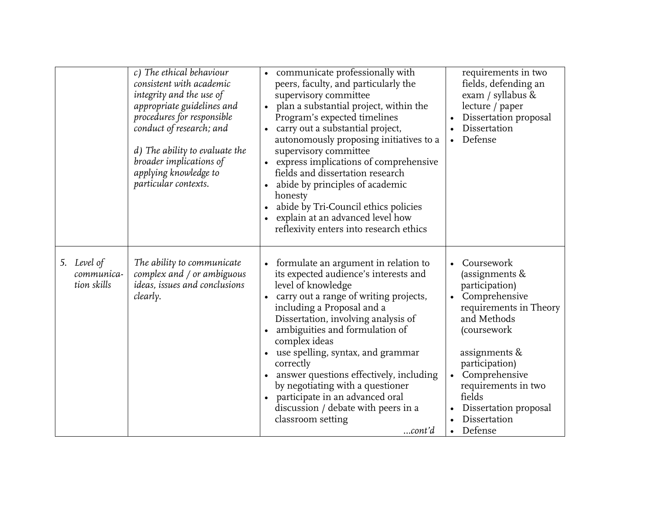|                                          | $c)$ The ethical behaviour<br>consistent with academic<br>integrity and the use of<br>appropriate guidelines and<br>procedures for responsible<br>conduct of research; and<br>d) The ability to evaluate the<br>broader implications of<br>applying knowledge to<br>particular contexts. | • communicate professionally with<br>peers, faculty, and particularly the<br>supervisory committee<br>• plan a substantial project, within the<br>Program's expected timelines<br>carry out a substantial project,<br>$\bullet$<br>autonomously proposing initiatives to a<br>supervisory committee<br>express implications of comprehensive<br>fields and dissertation research<br>abide by principles of academic<br>honesty<br>abide by Tri-Council ethics policies<br>explain at an advanced level how<br>reflexivity enters into research ethics | requirements in two<br>fields, defending an<br>exam / syllabus $\&$<br>lecture / paper<br>Dissertation proposal<br>Dissertation<br>Defense                                                                                                                                       |
|------------------------------------------|------------------------------------------------------------------------------------------------------------------------------------------------------------------------------------------------------------------------------------------------------------------------------------------|-------------------------------------------------------------------------------------------------------------------------------------------------------------------------------------------------------------------------------------------------------------------------------------------------------------------------------------------------------------------------------------------------------------------------------------------------------------------------------------------------------------------------------------------------------|----------------------------------------------------------------------------------------------------------------------------------------------------------------------------------------------------------------------------------------------------------------------------------|
| 5. Level of<br>communica-<br>tion skills | The ability to communicate<br>complex and / or ambiguous<br>ideas, issues and conclusions<br>clearly.                                                                                                                                                                                    | • formulate an argument in relation to<br>its expected audience's interests and<br>level of knowledge<br>carry out a range of writing projects,<br>including a Proposal and a<br>Dissertation, involving analysis of<br>ambiguities and formulation of<br>complex ideas<br>use spelling, syntax, and grammar<br>correctly<br>answer questions effectively, including<br>by negotiating with a questioner<br>participate in an advanced oral<br>discussion / debate with peers in a<br>classroom setting<br>$$ cont'd                                  | Coursework<br>(assignments &<br>participation)<br>Comprehensive<br>requirements in Theory<br>and Methods<br>(coursework<br>assignments $\&$<br>participation)<br>Comprehensive<br>$\bullet$<br>requirements in two<br>fields<br>Dissertation proposal<br>Dissertation<br>Defense |